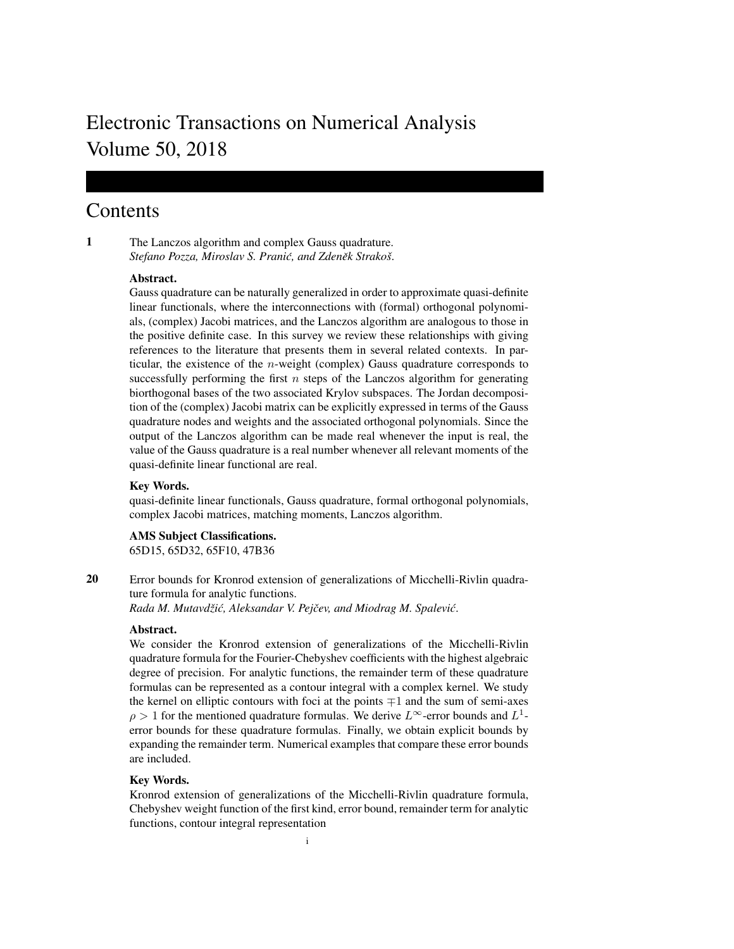# Electronic Transactions on Numerical Analysis Volume 50, 2018

# **Contents**

1 The Lanczos algorithm and complex Gauss quadrature. *Stefano Pozza, Miroslav S. Pranić, and Zdeněk Strakoš.* 

# Abstract.

Gauss quadrature can be naturally generalized in order to approximate quasi-definite linear functionals, where the interconnections with (formal) orthogonal polynomials, (complex) Jacobi matrices, and the Lanczos algorithm are analogous to those in the positive definite case. In this survey we review these relationships with giving references to the literature that presents them in several related contexts. In particular, the existence of the n-weight (complex) Gauss quadrature corresponds to successfully performing the first  $n$  steps of the Lanczos algorithm for generating biorthogonal bases of the two associated Krylov subspaces. The Jordan decomposition of the (complex) Jacobi matrix can be explicitly expressed in terms of the Gauss quadrature nodes and weights and the associated orthogonal polynomials. Since the output of the Lanczos algorithm can be made real whenever the input is real, the value of the Gauss quadrature is a real number whenever all relevant moments of the quasi-definite linear functional are real.

# Key Words.

quasi-definite linear functionals, Gauss quadrature, formal orthogonal polynomials, complex Jacobi matrices, matching moments, Lanczos algorithm.

AMS Subject Classifications. 65D15, 65D32, 65F10, 47B36

20 Error bounds for Kronrod extension of generalizations of Micchelli-Rivlin quadrature formula for analytic functions. *Rada M. Mutavdziˇ c, Aleksandar V. Pej ´ cev, and Miodrag M. Spalevi ˇ c´*.

#### Abstract.

We consider the Kronrod extension of generalizations of the Micchelli-Rivlin quadrature formula for the Fourier-Chebyshev coefficients with the highest algebraic degree of precision. For analytic functions, the remainder term of these quadrature formulas can be represented as a contour integral with a complex kernel. We study the kernel on elliptic contours with foci at the points  $\mp 1$  and the sum of semi-axes  $\rho > 1$  for the mentioned quadrature formulas. We derive  $L^{\infty}$ -error bounds and  $L^{1}$ error bounds for these quadrature formulas. Finally, we obtain explicit bounds by expanding the remainder term. Numerical examples that compare these error bounds are included.

# Key Words.

Kronrod extension of generalizations of the Micchelli-Rivlin quadrature formula, Chebyshev weight function of the first kind, error bound, remainder term for analytic functions, contour integral representation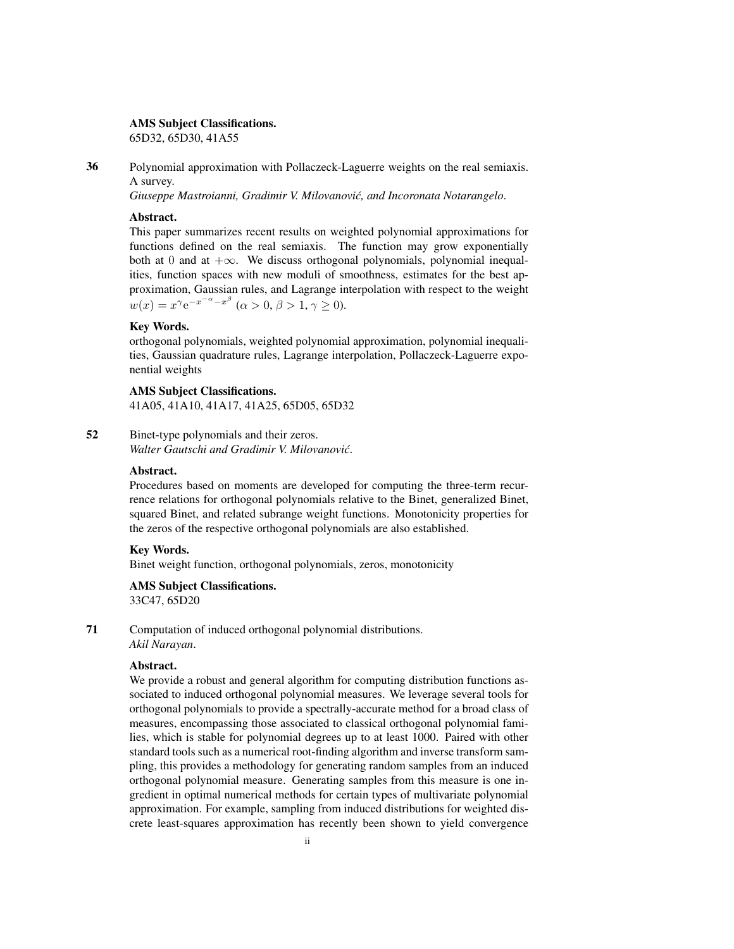#### AMS Subject Classifications.

65D32, 65D30, 41A55

36 Polynomial approximation with Pollaczeck-Laguerre weights on the real semiaxis. A survey.

*Giuseppe Mastroianni, Gradimir V. Milovanovic, and Incoronata Notarangelo ´* .

# Abstract.

This paper summarizes recent results on weighted polynomial approximations for functions defined on the real semiaxis. The function may grow exponentially both at 0 and at  $+\infty$ . We discuss orthogonal polynomials, polynomial inequalities, function spaces with new moduli of smoothness, estimates for the best approximation, Gaussian rules, and Lagrange interpolation with respect to the weight  $w(x) = x^{\gamma} e^{-x^{-\alpha} - x^{\beta}}$   $(\alpha > 0, \beta > 1, \gamma \ge 0).$ 

# Key Words.

orthogonal polynomials, weighted polynomial approximation, polynomial inequalities, Gaussian quadrature rules, Lagrange interpolation, Pollaczeck-Laguerre exponential weights

# AMS Subject Classifications.

41A05, 41A10, 41A17, 41A25, 65D05, 65D32

52 Binet-type polynomials and their zeros. *Walter Gautschi and Gradimir V. Milovanovic´*.

#### Abstract.

Procedures based on moments are developed for computing the three-term recurrence relations for orthogonal polynomials relative to the Binet, generalized Binet, squared Binet, and related subrange weight functions. Monotonicity properties for the zeros of the respective orthogonal polynomials are also established.

#### Key Words.

Binet weight function, orthogonal polynomials, zeros, monotonicity

# AMS Subject Classifications.

33C47, 65D20

71 Computation of induced orthogonal polynomial distributions. *Akil Narayan*.

# Abstract.

We provide a robust and general algorithm for computing distribution functions associated to induced orthogonal polynomial measures. We leverage several tools for orthogonal polynomials to provide a spectrally-accurate method for a broad class of measures, encompassing those associated to classical orthogonal polynomial families, which is stable for polynomial degrees up to at least 1000. Paired with other standard tools such as a numerical root-finding algorithm and inverse transform sampling, this provides a methodology for generating random samples from an induced orthogonal polynomial measure. Generating samples from this measure is one ingredient in optimal numerical methods for certain types of multivariate polynomial approximation. For example, sampling from induced distributions for weighted discrete least-squares approximation has recently been shown to yield convergence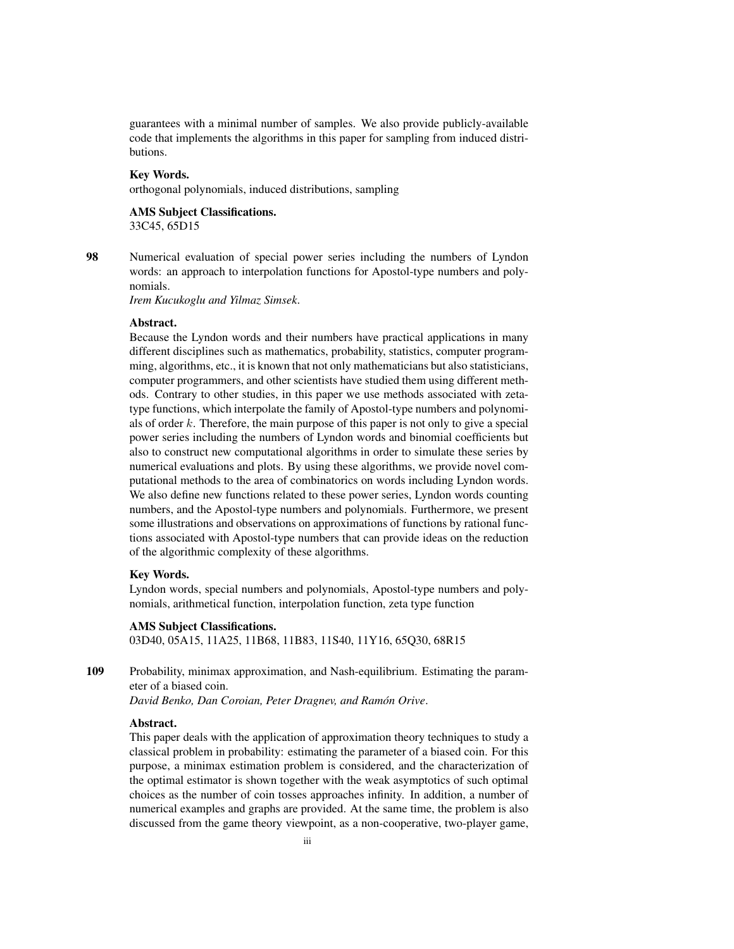guarantees with a minimal number of samples. We also provide publicly-available code that implements the algorithms in this paper for sampling from induced distributions.

#### Key Words.

orthogonal polynomials, induced distributions, sampling

# AMS Subject Classifications. 33C45, 65D15

98 Numerical evaluation of special power series including the numbers of Lyndon words: an approach to interpolation functions for Apostol-type numbers and polynomials.

*Irem Kucukoglu and Yilmaz Simsek*.

# Abstract.

Because the Lyndon words and their numbers have practical applications in many different disciplines such as mathematics, probability, statistics, computer programming, algorithms, etc., it is known that not only mathematicians but also statisticians, computer programmers, and other scientists have studied them using different methods. Contrary to other studies, in this paper we use methods associated with zetatype functions, which interpolate the family of Apostol-type numbers and polynomials of order k. Therefore, the main purpose of this paper is not only to give a special power series including the numbers of Lyndon words and binomial coefficients but also to construct new computational algorithms in order to simulate these series by numerical evaluations and plots. By using these algorithms, we provide novel computational methods to the area of combinatorics on words including Lyndon words. We also define new functions related to these power series, Lyndon words counting numbers, and the Apostol-type numbers and polynomials. Furthermore, we present some illustrations and observations on approximations of functions by rational functions associated with Apostol-type numbers that can provide ideas on the reduction of the algorithmic complexity of these algorithms.

# Key Words.

Lyndon words, special numbers and polynomials, Apostol-type numbers and polynomials, arithmetical function, interpolation function, zeta type function

#### AMS Subject Classifications.

03D40, 05A15, 11A25, 11B68, 11B83, 11S40, 11Y16, 65Q30, 68R15

109 Probability, minimax approximation, and Nash-equilibrium. Estimating the parameter of a biased coin.

*David Benko, Dan Coroian, Peter Dragnev, and Ramon Orive ´* .

# Abstract.

This paper deals with the application of approximation theory techniques to study a classical problem in probability: estimating the parameter of a biased coin. For this purpose, a minimax estimation problem is considered, and the characterization of the optimal estimator is shown together with the weak asymptotics of such optimal choices as the number of coin tosses approaches infinity. In addition, a number of numerical examples and graphs are provided. At the same time, the problem is also discussed from the game theory viewpoint, as a non-cooperative, two-player game,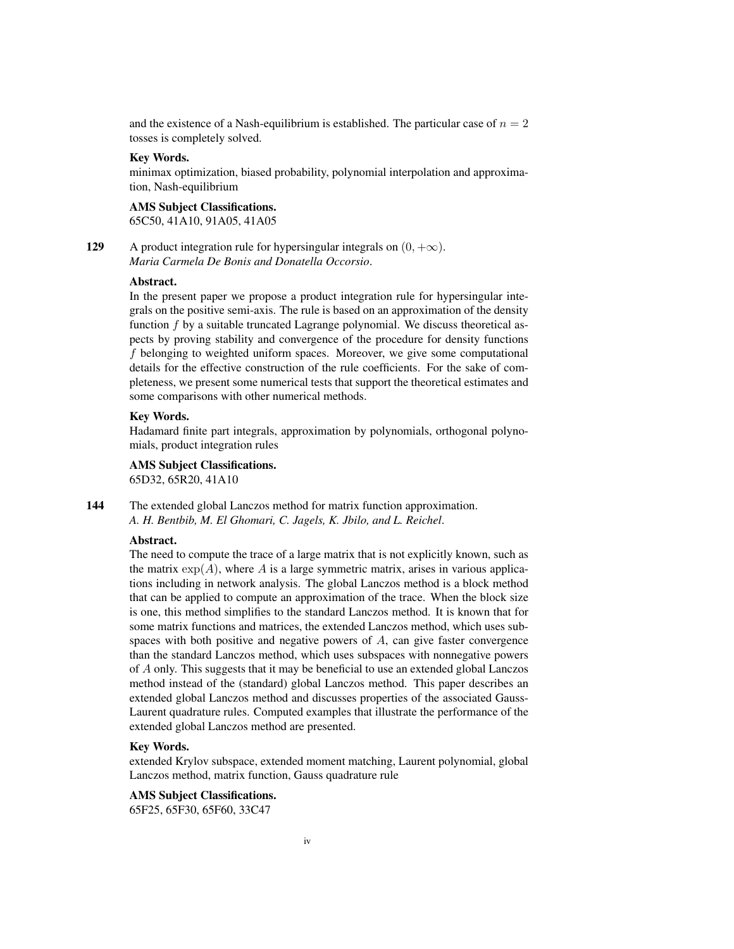and the existence of a Nash-equilibrium is established. The particular case of  $n = 2$ tosses is completely solved.

# Key Words.

minimax optimization, biased probability, polynomial interpolation and approximation, Nash-equilibrium

#### AMS Subject Classifications. 65C50, 41A10, 91A05, 41A05

129 A product integration rule for hypersingular integrals on  $(0, +\infty)$ . *Maria Carmela De Bonis and Donatella Occorsio*.

#### Abstract.

In the present paper we propose a product integration rule for hypersingular integrals on the positive semi-axis. The rule is based on an approximation of the density function  $f$  by a suitable truncated Lagrange polynomial. We discuss theoretical aspects by proving stability and convergence of the procedure for density functions f belonging to weighted uniform spaces. Moreover, we give some computational details for the effective construction of the rule coefficients. For the sake of completeness, we present some numerical tests that support the theoretical estimates and some comparisons with other numerical methods.

#### Key Words.

Hadamard finite part integrals, approximation by polynomials, orthogonal polynomials, product integration rules

# AMS Subject Classifications.

65D32, 65R20, 41A10

144 The extended global Lanczos method for matrix function approximation. *A. H. Bentbib, M. El Ghomari, C. Jagels, K. Jbilo, and L. Reichel*.

# Abstract.

The need to compute the trace of a large matrix that is not explicitly known, such as the matrix  $\exp(A)$ , where A is a large symmetric matrix, arises in various applications including in network analysis. The global Lanczos method is a block method that can be applied to compute an approximation of the trace. When the block size is one, this method simplifies to the standard Lanczos method. It is known that for some matrix functions and matrices, the extended Lanczos method, which uses subspaces with both positive and negative powers of A, can give faster convergence than the standard Lanczos method, which uses subspaces with nonnegative powers of A only. This suggests that it may be beneficial to use an extended global Lanczos method instead of the (standard) global Lanczos method. This paper describes an extended global Lanczos method and discusses properties of the associated Gauss-Laurent quadrature rules. Computed examples that illustrate the performance of the extended global Lanczos method are presented.

# Key Words.

extended Krylov subspace, extended moment matching, Laurent polynomial, global Lanczos method, matrix function, Gauss quadrature rule

# AMS Subject Classifications.

65F25, 65F30, 65F60, 33C47